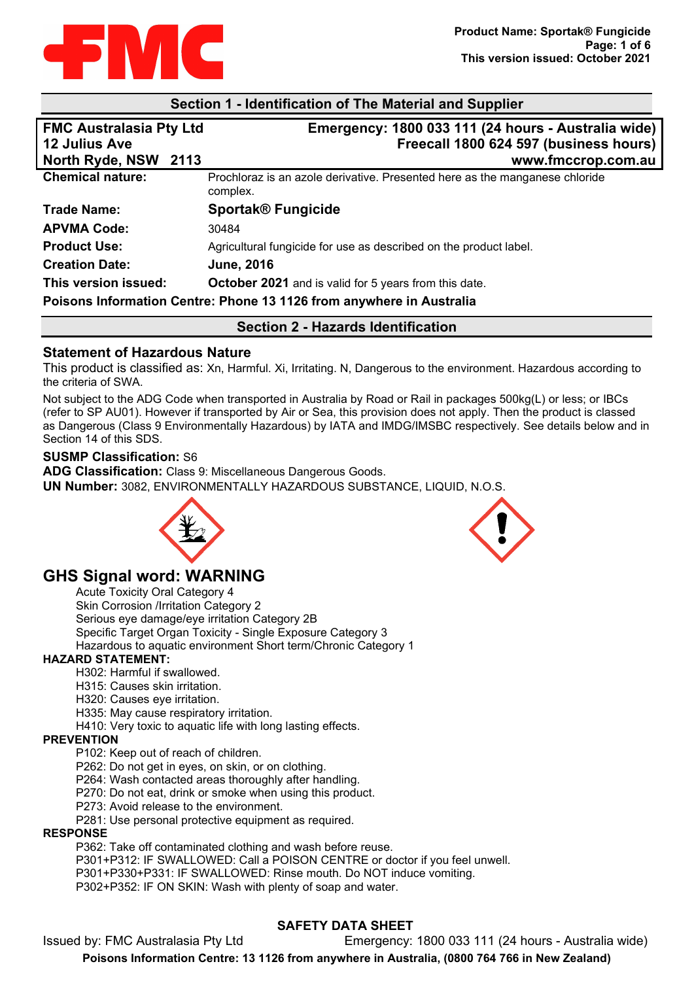

### **Section 1 - Identification of The Material and Supplier**

| <b>FMC Australasia Pty Ltd</b> | Emergency: 1800 033 111 (24 hours - Australia wide)                                     |
|--------------------------------|-----------------------------------------------------------------------------------------|
| <b>12 Julius Ave</b>           | Freecall 1800 624 597 (business hours)                                                  |
| North Ryde, NSW 2113           | www.fmccrop.com.au                                                                      |
| <b>Chemical nature:</b>        | Prochloraz is an azole derivative. Presented here as the manganese chloride<br>complex. |
| <b>Trade Name:</b>             | <b>Sportak<sup>®</sup> Fungicide</b>                                                    |
| <b>APVMA Code:</b>             | 30484                                                                                   |
| <b>Product Use:</b>            | Agricultural fungicide for use as described on the product label.                       |
| <b>Creation Date:</b>          | <b>June, 2016</b>                                                                       |
| This version issued:           | October 2021 and is valid for 5 years from this date.                                   |
|                                | Poisons Information Centre: Phone 13 1126 from anywhere in Australia                    |

**Section 2 - Hazards Identification**

### **Statement of Hazardous Nature**

This product is classified as: Xn, Harmful. Xi, Irritating. N, Dangerous to the environment. Hazardous according to the criteria of SWA.

Not subject to the ADG Code when transported in Australia by Road or Rail in packages 500kg(L) or less; or IBCs (refer to SP AU01). However if transported by Air or Sea, this provision does not apply. Then the product is classed as Dangerous (Class 9 Environmentally Hazardous) by IATA and IMDG/IMSBC respectively. See details below and in Section 14 of this SDS.

#### **SUSMP Classification:** S6

**ADG Classification:** Class 9: Miscellaneous Dangerous Goods.

**UN Number:** 3082, ENVIRONMENTALLY HAZARDOUS SUBSTANCE, LIQUID, N.O.S.





# **GHS Signal word: WARNING**

Acute Toxicity Oral Category 4 Skin Corrosion /Irritation Category 2 Serious eye damage/eye irritation Category 2B Specific Target Organ Toxicity - Single Exposure Category 3 Hazardous to aquatic environment Short term/Chronic Category 1

### **HAZARD STATEMENT:**

H302: Harmful if swallowed.

- H315: Causes skin irritation.
- H320: Causes eye irritation.
- H335: May cause respiratory irritation.
- H410: Very toxic to aquatic life with long lasting effects.

#### **PREVENTION**

- P102: Keep out of reach of children.
- P262: Do not get in eyes, on skin, or on clothing.
- P264: Wash contacted areas thoroughly after handling.
- P270: Do not eat, drink or smoke when using this product.
- P273: Avoid release to the environment.
- P281: Use personal protective equipment as required.

#### **RESPONSE**

P362: Take off contaminated clothing and wash before reuse.

P301+P312: IF SWALLOWED: Call a POISON CENTRE or doctor if you feel unwell.

P301+P330+P331: IF SWALLOWED: Rinse mouth. Do NOT induce vomiting.

P302+P352: IF ON SKIN: Wash with plenty of soap and water.

## **SAFETY DATA SHEET**

Issued by: FMC Australasia Pty Ltd Emergency: 1800 033 111 (24 hours - Australia wide) **Poisons Information Centre: 13 1126 from anywhere in Australia, (0800 764 766 in New Zealand)**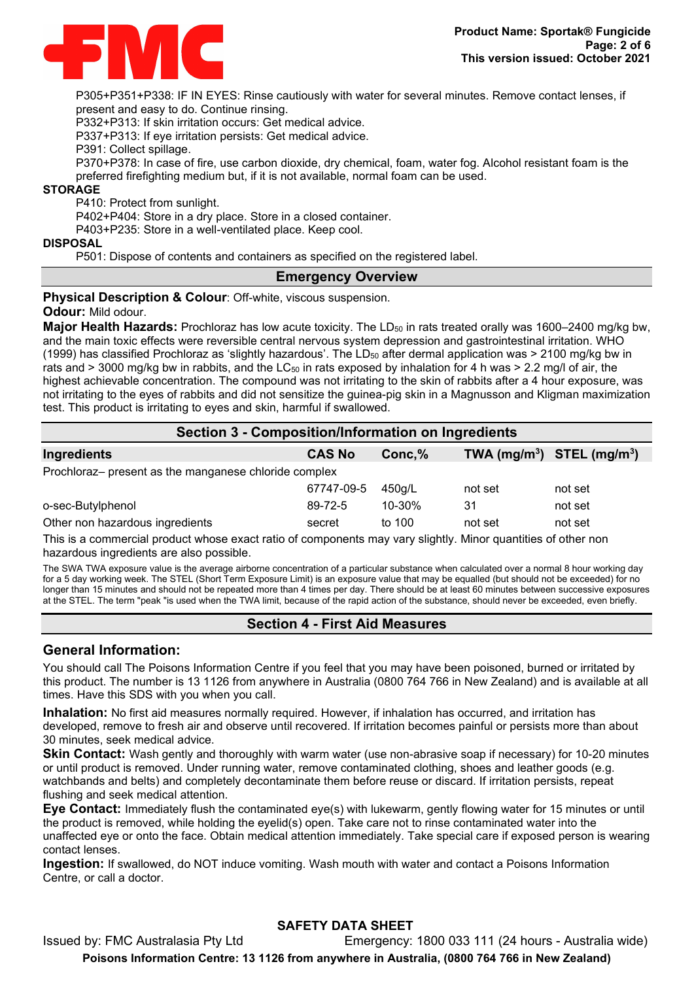

P305+P351+P338: IF IN EYES: Rinse cautiously with water for several minutes. Remove contact lenses, if present and easy to do. Continue rinsing.

P332+P313: If skin irritation occurs: Get medical advice.

P337+P313: If eye irritation persists: Get medical advice.

P391: Collect spillage.

P370+P378: In case of fire, use carbon dioxide, dry chemical, foam, water fog. Alcohol resistant foam is the preferred firefighting medium but, if it is not available, normal foam can be used.

#### **STORAGE**

P410: Protect from sunlight.

P402+P404: Store in a dry place. Store in a closed container.

P403+P235: Store in a well-ventilated place. Keep cool.

#### **DISPOSAL**

P501: Dispose of contents and containers as specified on the registered label.

### **Emergency Overview**

**Physical Description & Colour: Off-white, viscous suspension.** 

#### **Odour:** Mild odour.

Major Health Hazards: Prochloraz has low acute toxicity. The LD<sub>50</sub> in rats treated orally was 1600–2400 mg/kg bw, and the main toxic effects were reversible central nervous system depression and gastrointestinal irritation. WHO (1999) has classified Prochloraz as 'slightly hazardous'. The LD $_{50}$  after dermal application was > 2100 mg/kg bw in rats and  $>$  3000 mg/kg bw in rabbits, and the LC<sub>50</sub> in rats exposed by inhalation for 4 h was  $>$  2.2 mg/l of air, the highest achievable concentration. The compound was not irritating to the skin of rabbits after a 4 hour exposure, was not irritating to the eyes of rabbits and did not sensitize the guinea-pig skin in a Magnusson and Kligman maximization test. This product is irritating to eyes and skin, harmful if swallowed.

| Section 3 - Composition/Information on Ingredients    |               |         |                                |         |
|-------------------------------------------------------|---------------|---------|--------------------------------|---------|
| Ingredients                                           | <b>CAS No</b> | Conc, % | TWA $(mg/m^3)$ STEL $(mg/m^3)$ |         |
| Prochloraz- present as the manganese chloride complex |               |         |                                |         |
|                                                       | 67747-09-5    | 450g/L  | not set                        | not set |
| o-sec-Butylphenol                                     | 89-72-5       | 10-30%  | 31                             | not set |
| Other non hazardous ingredients                       | secret        | to 100  | not set                        | not set |

This is a commercial product whose exact ratio of components may vary slightly. Minor quantities of other non hazardous ingredients are also possible.

The SWA TWA exposure value is the average airborne concentration of a particular substance when calculated over a normal 8 hour working day for a 5 day working week. The STEL (Short Term Exposure Limit) is an exposure value that may be equalled (but should not be exceeded) for no longer than 15 minutes and should not be repeated more than 4 times per day. There should be at least 60 minutes between successive exposures at the STEL. The term "peak "is used when the TWA limit, because of the rapid action of the substance, should never be exceeded, even briefly.

## **Section 4 - First Aid Measures**

### **General Information:**

You should call The Poisons Information Centre if you feel that you may have been poisoned, burned or irritated by this product. The number is 13 1126 from anywhere in Australia (0800 764 766 in New Zealand) and is available at all times. Have this SDS with you when you call.

**Inhalation:** No first aid measures normally required. However, if inhalation has occurred, and irritation has developed, remove to fresh air and observe until recovered. If irritation becomes painful or persists more than about 30 minutes, seek medical advice.

**Skin Contact:** Wash gently and thoroughly with warm water (use non-abrasive soap if necessary) for 10-20 minutes or until product is removed. Under running water, remove contaminated clothing, shoes and leather goods (e.g. watchbands and belts) and completely decontaminate them before reuse or discard. If irritation persists, repeat flushing and seek medical attention.

**Eye Contact:** Immediately flush the contaminated eye(s) with lukewarm, gently flowing water for 15 minutes or until the product is removed, while holding the eyelid(s) open. Take care not to rinse contaminated water into the unaffected eye or onto the face. Obtain medical attention immediately. Take special care if exposed person is wearing contact lenses.

**Ingestion:** If swallowed, do NOT induce vomiting. Wash mouth with water and contact a Poisons Information Centre, or call a doctor.

## **SAFETY DATA SHEET**

Issued by: FMC Australasia Pty Ltd Emergency: 1800 033 111 (24 hours - Australia wide) **Poisons Information Centre: 13 1126 from anywhere in Australia, (0800 764 766 in New Zealand)**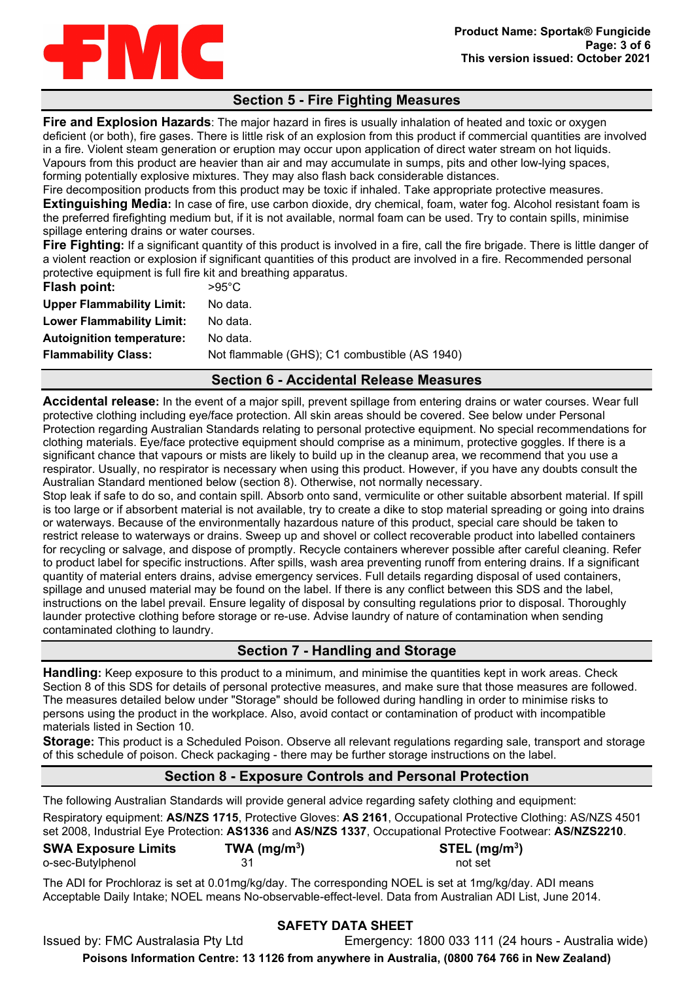

# **Section 5 - Fire Fighting Measures**

**Fire and Explosion Hazards**: The major hazard in fires is usually inhalation of heated and toxic or oxygen deficient (or both), fire gases. There is little risk of an explosion from this product if commercial quantities are involved in a fire. Violent steam generation or eruption may occur upon application of direct water stream on hot liquids. Vapours from this product are heavier than air and may accumulate in sumps, pits and other low-lying spaces, forming potentially explosive mixtures. They may also flash back considerable distances.

Fire decomposition products from this product may be toxic if inhaled. Take appropriate protective measures. **Extinguishing Media:** In case of fire, use carbon dioxide, dry chemical, foam, water fog. Alcohol resistant foam is the preferred firefighting medium but, if it is not available, normal foam can be used. Try to contain spills, minimise spillage entering drains or water courses.

**Fire Fighting:** If a significant quantity of this product is involved in a fire, call the fire brigade. There is little danger of a violent reaction or explosion if significant quantities of this product are involved in a fire. Recommended personal protective equipment is full fire kit and breathing apparatus.

| Flash point:                     | $>95^{\circ}$ C                               |
|----------------------------------|-----------------------------------------------|
| <b>Upper Flammability Limit:</b> | No data.                                      |
| <b>Lower Flammability Limit:</b> | No data.                                      |
| <b>Autoignition temperature:</b> | No data.                                      |
| <b>Flammability Class:</b>       | Not flammable (GHS); C1 combustible (AS 1940) |
|                                  |                                               |

## **Section 6 - Accidental Release Measures**

**Accidental release:** In the event of a major spill, prevent spillage from entering drains or water courses. Wear full protective clothing including eye/face protection. All skin areas should be covered. See below under Personal Protection regarding Australian Standards relating to personal protective equipment. No special recommendations for clothing materials. Eye/face protective equipment should comprise as a minimum, protective goggles. If there is a significant chance that vapours or mists are likely to build up in the cleanup area, we recommend that you use a respirator. Usually, no respirator is necessary when using this product. However, if you have any doubts consult the Australian Standard mentioned below (section 8). Otherwise, not normally necessary.

Stop leak if safe to do so, and contain spill. Absorb onto sand, vermiculite or other suitable absorbent material. If spill is too large or if absorbent material is not available, try to create a dike to stop material spreading or going into drains or waterways. Because of the environmentally hazardous nature of this product, special care should be taken to restrict release to waterways or drains. Sweep up and shovel or collect recoverable product into labelled containers for recycling or salvage, and dispose of promptly. Recycle containers wherever possible after careful cleaning. Refer to product label for specific instructions. After spills, wash area preventing runoff from entering drains. If a significant quantity of material enters drains, advise emergency services. Full details regarding disposal of used containers, spillage and unused material may be found on the label. If there is any conflict between this SDS and the label, instructions on the label prevail. Ensure legality of disposal by consulting regulations prior to disposal. Thoroughly launder protective clothing before storage or re-use. Advise laundry of nature of contamination when sending contaminated clothing to laundry.

# **Section 7 - Handling and Storage**

**Handling:** Keep exposure to this product to a minimum, and minimise the quantities kept in work areas. Check Section 8 of this SDS for details of personal protective measures, and make sure that those measures are followed. The measures detailed below under "Storage" should be followed during handling in order to minimise risks to persons using the product in the workplace. Also, avoid contact or contamination of product with incompatible materials listed in Section 10.

**Storage:** This product is a Scheduled Poison. Observe all relevant regulations regarding sale, transport and storage of this schedule of poison. Check packaging - there may be further storage instructions on the label.

## **Section 8 - Exposure Controls and Personal Protection**

The following Australian Standards will provide general advice regarding safety clothing and equipment: Respiratory equipment: **AS/NZS 1715**, Protective Gloves: **AS 2161**, Occupational Protective Clothing: AS/NZS 4501 set 2008, Industrial Eye Protection: **AS1336** and **AS/NZS 1337**, Occupational Protective Footwear: **AS/NZS2210**.

| <b>SWA Exposure Limits</b> | TWA (mg/m <sup>3</sup> ) | $STEL$ (mg/m <sup>3</sup> ) |
|----------------------------|--------------------------|-----------------------------|
| o-sec-Butylphenol          |                          | not set                     |

The ADI for Prochloraz is set at 0.01mg/kg/day. The corresponding NOEL is set at 1mg/kg/day. ADI means Acceptable Daily Intake; NOEL means No-observable-effect-level. Data from Australian ADI List, June 2014.

## **SAFETY DATA SHEET**

Issued by: FMC Australasia Pty Ltd Emergency: 1800 033 111 (24 hours - Australia wide) **Poisons Information Centre: 13 1126 from anywhere in Australia, (0800 764 766 in New Zealand)**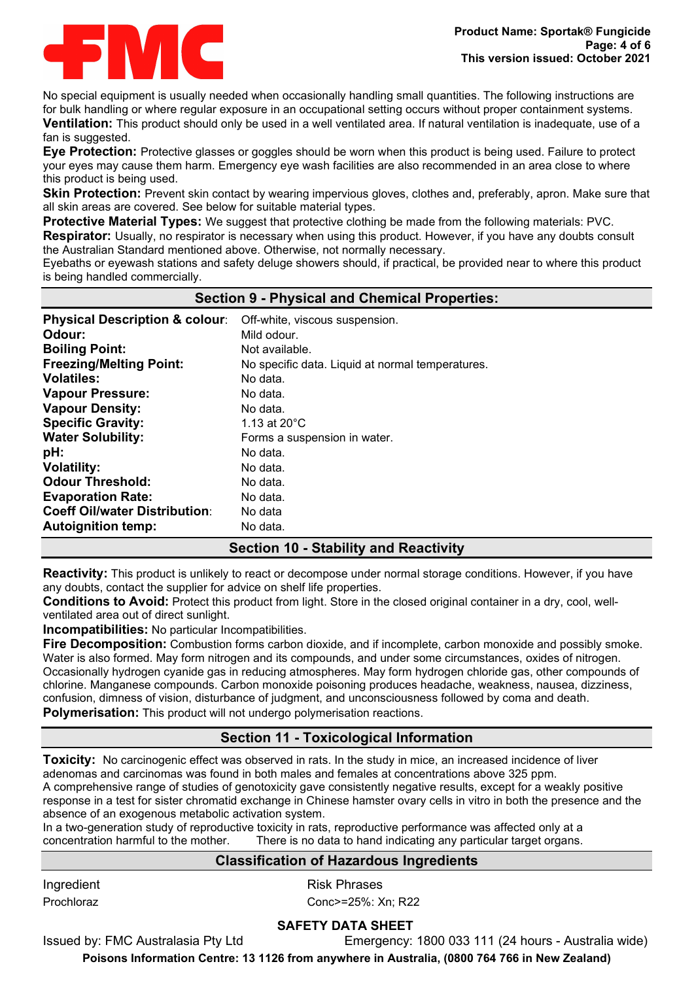

No special equipment is usually needed when occasionally handling small quantities. The following instructions are for bulk handling or where regular exposure in an occupational setting occurs without proper containment systems. **Ventilation:** This product should only be used in a well ventilated area. If natural ventilation is inadequate, use of a fan is suggested.

**Eye Protection:** Protective glasses or goggles should be worn when this product is being used. Failure to protect your eyes may cause them harm. Emergency eye wash facilities are also recommended in an area close to where this product is being used.

**Skin Protection:** Prevent skin contact by wearing impervious gloves, clothes and, preferably, apron. Make sure that all skin areas are covered. See below for suitable material types.

**Protective Material Types:** We suggest that protective clothing be made from the following materials: PVC.

**Respirator:** Usually, no respirator is necessary when using this product. However, if you have any doubts consult the Australian Standard mentioned above. Otherwise, not normally necessary.

Eyebaths or eyewash stations and safety deluge showers should, if practical, be provided near to where this product is being handled commercially.

## **Section 9 - Physical and Chemical Properties:**

| <b>Physical Description &amp; colour:</b> | Off-white, viscous suspension.                   |
|-------------------------------------------|--------------------------------------------------|
| Odour:                                    | Mild odour.                                      |
| <b>Boiling Point:</b>                     | Not available.                                   |
| <b>Freezing/Melting Point:</b>            | No specific data. Liquid at normal temperatures. |
| <b>Volatiles:</b>                         | No data.                                         |
| <b>Vapour Pressure:</b>                   | No data.                                         |
| <b>Vapour Density:</b>                    | No data.                                         |
| <b>Specific Gravity:</b>                  | 1.13 at $20^{\circ}$ C                           |
| <b>Water Solubility:</b>                  | Forms a suspension in water.                     |
| pH:                                       | No data.                                         |
| <b>Volatility:</b>                        | No data.                                         |
| <b>Odour Threshold:</b>                   | No data.                                         |
| <b>Evaporation Rate:</b>                  | No data.                                         |
| <b>Coeff Oil/water Distribution:</b>      | No data                                          |
| <b>Autoignition temp:</b>                 | No data.                                         |

# **Section 10 - Stability and Reactivity**

**Reactivity:** This product is unlikely to react or decompose under normal storage conditions. However, if you have any doubts, contact the supplier for advice on shelf life properties.

**Conditions to Avoid:** Protect this product from light. Store in the closed original container in a dry, cool, wellventilated area out of direct sunlight.

**Incompatibilities:** No particular Incompatibilities.

**Fire Decomposition:** Combustion forms carbon dioxide, and if incomplete, carbon monoxide and possibly smoke. Water is also formed. May form nitrogen and its compounds, and under some circumstances, oxides of nitrogen. Occasionally hydrogen cyanide gas in reducing atmospheres. May form hydrogen chloride gas, other compounds of chlorine. Manganese compounds. Carbon monoxide poisoning produces headache, weakness, nausea, dizziness, confusion, dimness of vision, disturbance of judgment, and unconsciousness followed by coma and death. **Polymerisation:** This product will not undergo polymerisation reactions.

# **Section 11 - Toxicological Information**

**Toxicity:** No carcinogenic effect was observed in rats. In the study in mice, an increased incidence of liver adenomas and carcinomas was found in both males and females at concentrations above 325 ppm. A comprehensive range of studies of genotoxicity gave consistently negative results, except for a weakly positive response in a test for sister chromatid exchange in Chinese hamster ovary cells in vitro in both the presence and the absence of an exogenous metabolic activation system.

In a two-generation study of reproductive toxicity in rats, reproductive performance was affected only at a concentration harmful to the mother. There is no data to hand indicating any particular target organs.

## **Classification of Hazardous Ingredients**

Ingredient **Risk Phrases** 

Prochloraz **Conc>=25%: Xn**; R22

## **SAFETY DATA SHEET**

Issued by: FMC Australasia Pty Ltd Emergency: 1800 033 111 (24 hours - Australia wide)

**Poisons Information Centre: 13 1126 from anywhere in Australia, (0800 764 766 in New Zealand)**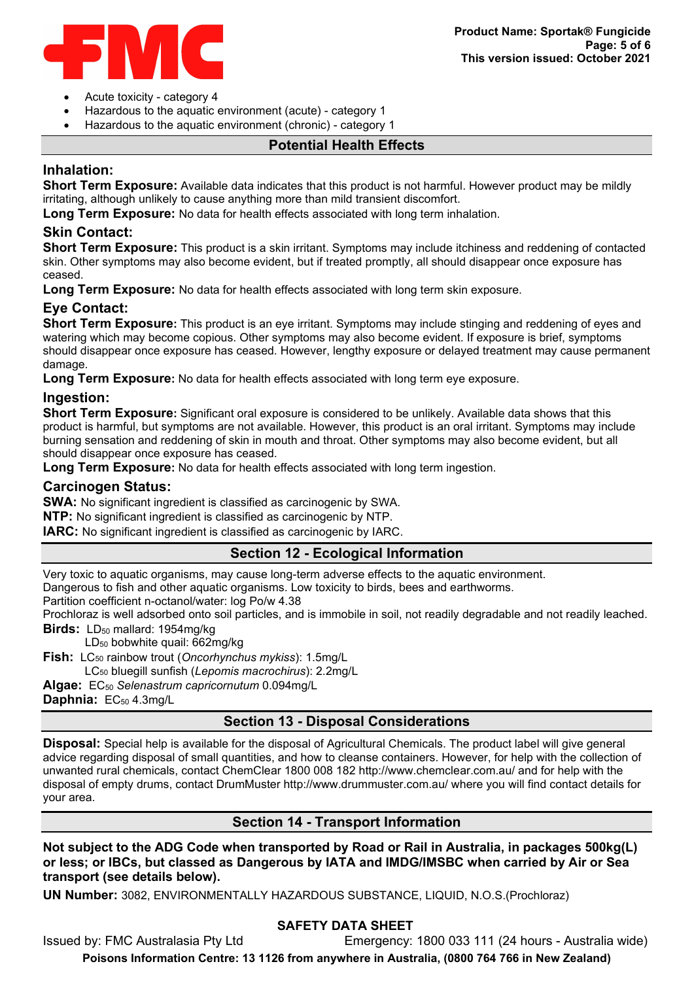

- Acute toxicity category 4
- Hazardous to the aquatic environment (acute) category 1
- Hazardous to the aquatic environment (chronic) category 1

## **Potential Health Effects**

# **Inhalation:**

**Short Term Exposure:** Available data indicates that this product is not harmful. However product may be mildly irritating, although unlikely to cause anything more than mild transient discomfort.

**Long Term Exposure:** No data for health effects associated with long term inhalation.

## **Skin Contact:**

**Short Term Exposure:** This product is a skin irritant. Symptoms may include itchiness and reddening of contacted skin. Other symptoms may also become evident, but if treated promptly, all should disappear once exposure has ceased.

**Long Term Exposure:** No data for health effects associated with long term skin exposure.

# **Eye Contact:**

**Short Term Exposure:** This product is an eye irritant. Symptoms may include stinging and reddening of eyes and watering which may become copious. Other symptoms may also become evident. If exposure is brief, symptoms should disappear once exposure has ceased. However, lengthy exposure or delayed treatment may cause permanent damage.

**Long Term Exposure:** No data for health effects associated with long term eye exposure.

## **Ingestion:**

**Short Term Exposure:** Significant oral exposure is considered to be unlikely. Available data shows that this product is harmful, but symptoms are not available. However, this product is an oral irritant. Symptoms may include burning sensation and reddening of skin in mouth and throat. Other symptoms may also become evident, but all should disappear once exposure has ceased.

**Long Term Exposure:** No data for health effects associated with long term ingestion.

## **Carcinogen Status:**

**SWA:** No significant ingredient is classified as carcinogenic by SWA.

**NTP:** No significant ingredient is classified as carcinogenic by NTP.

**IARC:** No significant ingredient is classified as carcinogenic by IARC.

## **Section 12 - Ecological Information**

Very toxic to aquatic organisms, may cause long-term adverse effects to the aquatic environment. Dangerous to fish and other aquatic organisms. Low toxicity to birds, bees and earthworms.

Partition coefficient n-octanol/water: log Po/w 4.38

Prochloraz is well adsorbed onto soil particles, and is immobile in soil, not readily degradable and not readily leached.

**Birds:** LD<sub>50</sub> mallard: 1954mg/kg

LD50 bobwhite quail: 662mg/kg

**Fish:** LC<sub>50</sub> rainbow trout (*Oncorhynchus mykiss*): 1.5mg/L

LC50 bluegill sunfish (*Lepomis macrochirus*): 2.2mg/L

**Algae:** EC50 *Selenastrum capricornutum* 0.094mg/L

**Daphnia: EC<sub>50</sub> 4.3mg/L** 

# **Section 13 - Disposal Considerations**

**Disposal:** Special help is available for the disposal of Agricultural Chemicals. The product label will give general advice regarding disposal of small quantities, and how to cleanse containers. However, for help with the collection of unwanted rural chemicals, contact ChemClear 1800 008 182 http://www.chemclear.com.au/ and for help with the disposal of empty drums, contact DrumMuster http://www.drummuster.com.au/ where you will find contact details for your area.

## **Section 14 - Transport Information**

**Not subject to the ADG Code when transported by Road or Rail in Australia, in packages 500kg(L) or less; or IBCs, but classed as Dangerous by IATA and IMDG/IMSBC when carried by Air or Sea transport (see details below).** 

**UN Number:** 3082, ENVIRONMENTALLY HAZARDOUS SUBSTANCE, LIQUID, N.O.S.(Prochloraz)

## **SAFETY DATA SHEET**

Issued by: FMC Australasia Pty Ltd Emergency: 1800 033 111 (24 hours - Australia wide)

**Poisons Information Centre: 13 1126 from anywhere in Australia, (0800 764 766 in New Zealand)**